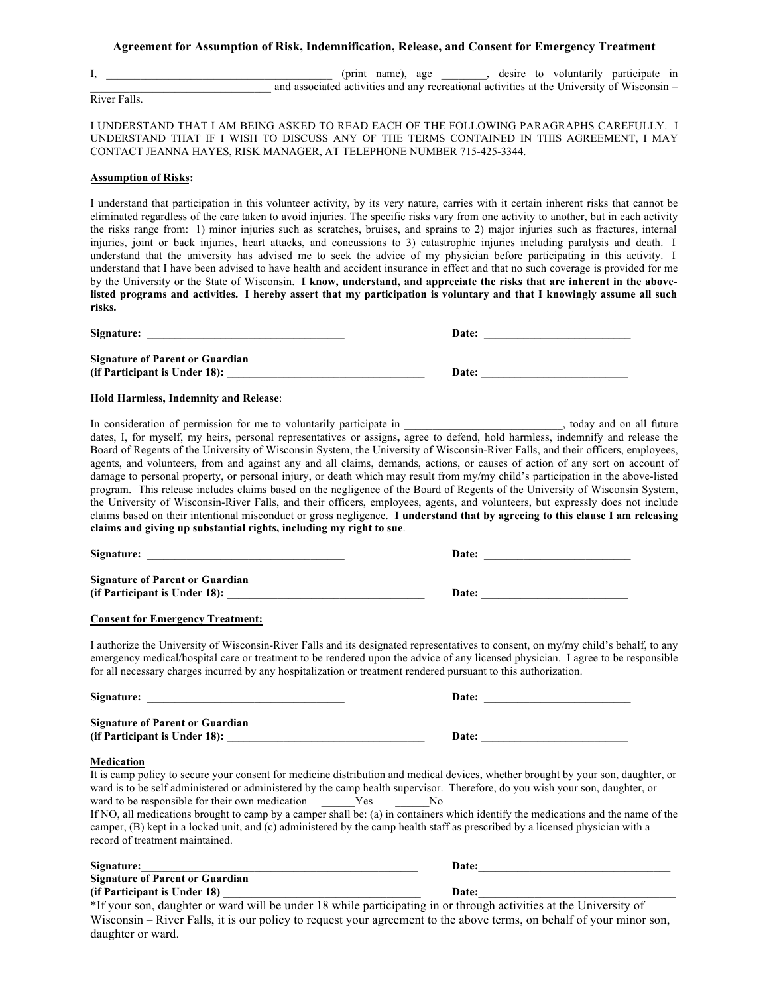### **Agreement for Assumption of Risk, Indemnification, Release, and Consent for Emergency Treatment**

I, \_\_\_\_\_\_\_\_\_\_\_\_\_\_\_\_\_\_\_\_\_\_\_\_\_\_\_\_\_\_\_\_\_\_\_\_\_\_\_\_ (print name), age \_\_\_\_\_\_\_\_, desire to voluntarily participate in and associated activities and any recreational activities at the University of Wisconsin –

River Falls.

I UNDERSTAND THAT I AM BEING ASKED TO READ EACH OF THE FOLLOWING PARAGRAPHS CAREFULLY. I UNDERSTAND THAT IF I WISH TO DISCUSS ANY OF THE TERMS CONTAINED IN THIS AGREEMENT, I MAY CONTACT JEANNA HAYES, RISK MANAGER, AT TELEPHONE NUMBER 715-425-3344.

#### **Assumption of Risks:**

I understand that participation in this volunteer activity, by its very nature, carries with it certain inherent risks that cannot be eliminated regardless of the care taken to avoid injuries. The specific risks vary from one activity to another, but in each activity the risks range from: 1) minor injuries such as scratches, bruises, and sprains to 2) major injuries such as fractures, internal injuries, joint or back injuries, heart attacks, and concussions to 3) catastrophic injuries including paralysis and death. I understand that the university has advised me to seek the advice of my physician before participating in this activity. I understand that I have been advised to have health and accident insurance in effect and that no such coverage is provided for me by the University or the State of Wisconsin. **I know, understand, and appreciate the risks that are inherent in the above**listed programs and activities. I hereby assert that my participation is voluntary and that I knowingly assume all such **risks.** 

| Signature:                                                              | Date: |
|-------------------------------------------------------------------------|-------|
| <b>Signature of Parent or Guardian</b><br>(if Participant is Under 18): | Date: |

### **Hold Harmless, Indemnity and Release**:

In consideration of permission for me to voluntarily participate in example of the state of the state of the state of the state of the state of the state of the state of the state of the state of the state of the state of dates, I, for myself, my heirs, personal representatives or assigns**,** agree to defend, hold harmless, indemnify and release the Board of Regents of the University of Wisconsin System, the University of Wisconsin-River Falls, and their officers, employees, agents, and volunteers, from and against any and all claims, demands, actions, or causes of action of any sort on account of damage to personal property, or personal injury, or death which may result from my/my child's participation in the above-listed program. This release includes claims based on the negligence of the Board of Regents of the University of Wisconsin System, the University of Wisconsin-River Falls, and their officers, employees, agents, and volunteers, but expressly does not include claims based on their intentional misconduct or gross negligence. **I understand that by agreeing to this clause I am releasing claims and giving up substantial rights, including my right to sue**.

| Signature:                                                              | Date: |
|-------------------------------------------------------------------------|-------|
| <b>Signature of Parent or Guardian</b><br>(if Participant is Under 18): | Date: |
|                                                                         |       |

## **Consent for Emergency Treatment:**

I authorize the University of Wisconsin-River Falls and its designated representatives to consent, on my/my child's behalf, to any emergency medical/hospital care or treatment to be rendered upon the advice of any licensed physician. I agree to be responsible for all necessary charges incurred by any hospitalization or treatment rendered pursuant to this authorization.

| Signature: Signature:                                                                     | Date:                                                                                                                                                                                                                                                                                                                                                                                                                                                                                                                                   |
|-------------------------------------------------------------------------------------------|-----------------------------------------------------------------------------------------------------------------------------------------------------------------------------------------------------------------------------------------------------------------------------------------------------------------------------------------------------------------------------------------------------------------------------------------------------------------------------------------------------------------------------------------|
| <b>Signature of Parent or Guardian</b>                                                    |                                                                                                                                                                                                                                                                                                                                                                                                                                                                                                                                         |
| (if Participant is Under 18):                                                             | Date:                                                                                                                                                                                                                                                                                                                                                                                                                                                                                                                                   |
| <b>Medication</b>                                                                         |                                                                                                                                                                                                                                                                                                                                                                                                                                                                                                                                         |
| ward to be responsible for their own medication Yes No<br>record of treatment maintained. | It is camp policy to secure your consent for medicine distribution and medical devices, whether brought by your son, daughter, or<br>ward is to be self administered or administered by the camp health supervisor. Therefore, do you wish your son, daughter, or<br>If NO, all medications brought to camp by a camper shall be: (a) in containers which identify the medications and the name of the<br>camper, (B) kept in a locked unit, and (c) administered by the camp health staff as prescribed by a licensed physician with a |
| Signature:                                                                                | Date:                                                                                                                                                                                                                                                                                                                                                                                                                                                                                                                                   |
| <b>Signature of Parent or Guardian</b>                                                    |                                                                                                                                                                                                                                                                                                                                                                                                                                                                                                                                         |
|                                                                                           | Date:                                                                                                                                                                                                                                                                                                                                                                                                                                                                                                                                   |
|                                                                                           | *If your son, daughter or ward will be under 18 while participating in or through activities at the University of                                                                                                                                                                                                                                                                                                                                                                                                                       |
|                                                                                           | Wisconsin – River Falls, it is our policy to request your agreement to the above terms, on behalf of your minor son,                                                                                                                                                                                                                                                                                                                                                                                                                    |

daughter or ward.

| Date: |  |  |  |
|-------|--|--|--|
|       |  |  |  |
|       |  |  |  |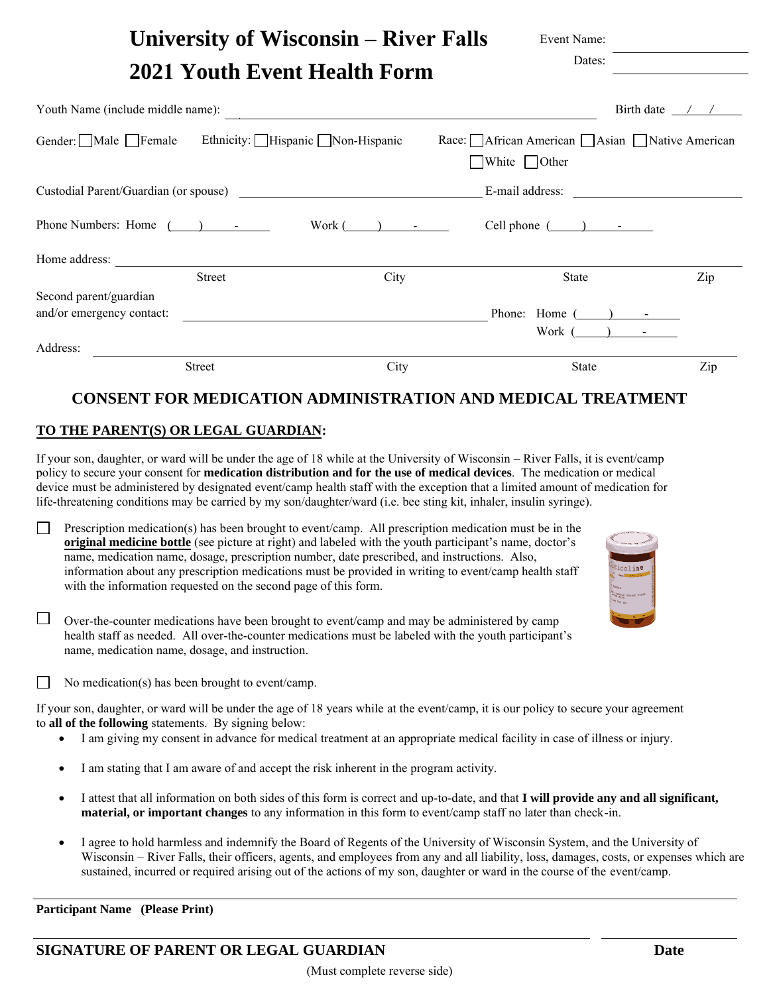| <b>University of Wisconsin – River Falls</b>                                                                                   | Event Name:                                     |                            |
|--------------------------------------------------------------------------------------------------------------------------------|-------------------------------------------------|----------------------------|
| 2021 Youth Event Health Form                                                                                                   | Dates:                                          |                            |
| Youth Name (include middle name):                                                                                              |                                                 | Birth date $\frac{\pi}{2}$ |
| Gender: Male Female Ethnicity: Hispanic Non-Hispanic<br>Race: African American   Asian   Native American<br>White $\Box$ Other |                                                 |                            |
|                                                                                                                                | E-mail address:                                 |                            |
| Phone Numbers: Home $($ ) - $)$<br>$Work(\_\)$ $\_\_$ Cell phone $(\_\)$                                                       |                                                 |                            |
| Home address:                                                                                                                  |                                                 |                            |
| City<br>Street                                                                                                                 | State                                           | Zip                        |
| Second parent/guardian<br>and/or emergency contact:                                                                            | Phone: Home $(\_\_\_\_\_\_$<br>Work $($ $)$ $-$ |                            |
| Address:<br>City<br><b>Street</b>                                                                                              | State                                           | Zip                        |

# **CONSENT FOR MEDICATION ADMINISTRATION AND MEDICAL TREATMENT**

# **TO THE PARENT(S) OR LEGAL GUARDIAN:**

If your son, daughter, or ward will be under the age of 18 while at the University of Wisconsin – River Falls, it is event/camp policy to secure your consent for **medication distribution and for the use of medical devices**. The medication or medical device must be administered by designated event/camp health staff with the exception that a limited amount of medication for life-threatening conditions may be carried by my son/daughter/ward (i.e. bee sting kit, inhaler, insulin syringe).

Prescription medication(s) has been brought to event/camp. All prescription medication must be in the  $\Box$ **original medicine bottle** (see picture at right) and labeled with the youth participant's name, doctor's name, medication name, dosage, prescription number, date prescribed, and instructions. Also, information about any prescription medications must be provided in writing to event/camp health staff with the information requested on the second page of this form.

| ٠                                                                |
|------------------------------------------------------------------|
| Citicoline<br>65.70                                              |
| <b>Though</b><br><b>SETTING TIGHT</b><br>viru<br><b>CA CH AN</b> |
|                                                                  |
|                                                                  |

 $\Box$  Over-the-counter medications have been brought to event/camp and may be administered by camp health staff as needed. All over-the-counter medications must be labeled with the youth participant's name, medication name, dosage, and instruction.

No medication(s) has been brought to event/camp.

If your son, daughter, or ward will be under the age of 18 years while at the event/camp, it is our policy to secure your agreement to **all of the following** statements. By signing below:

- I am giving my consent in advance for medical treatment at an appropriate medical facility in case of illness or injury.
- I am stating that I am aware of and accept the risk inherent in the program activity.
- I attest that all information on both sides of this form is correct and up-to-date, and that **I will provide any and all significant, material, or important changes** to any information in this form to event/camp staff no later than check-in.
- I agree to hold harmless and indemnify the Board of Regents of the University of Wisconsin System, and the University of Wisconsin – River Falls, their officers, agents, and employees from any and all liability, loss, damages, costs, or expenses which are sustained, incurred or required arising out of the actions of my son, daughter or ward in the course of the event/camp.

**Participant Name (Please Print)**